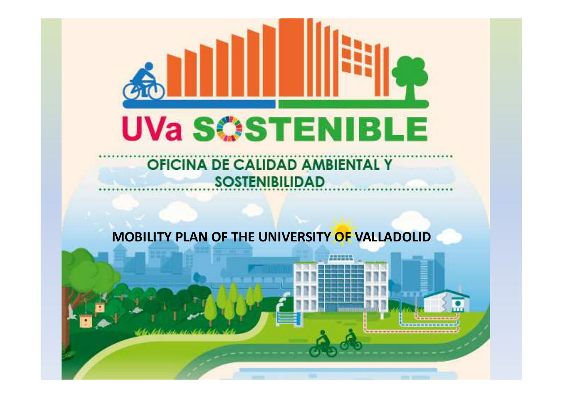

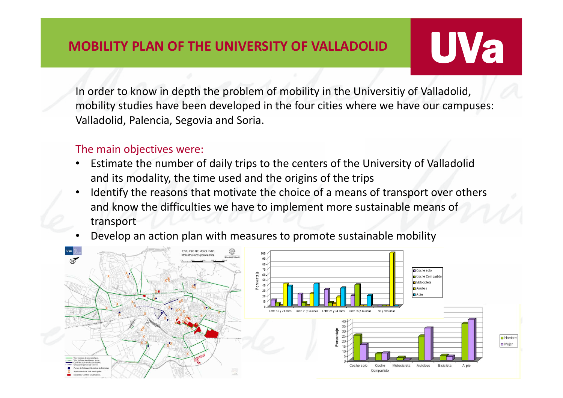## **UVa**

In order to know in depth the problem of mobility in the Universitiy of Valladolid, mobility studies have been developed in the four cities where we have our campuses: Valladolid, Palencia, Segovia and Soria.

#### The main objectives were:

- • Estimate the number of daily trips to the centers of the University of Valladolid and its modality, the time used and the origins of the trips
- • Identify the reasons that motivate the choice of a means of transport over others and know the difficulties we have to implement more sustainable means of transport
- •Develop an action plan with measures to promote sustainable mobility

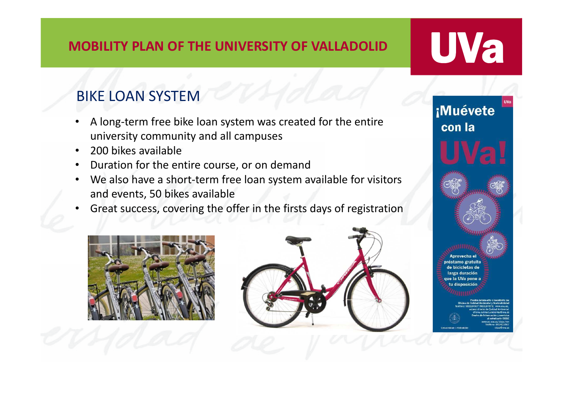# <u>UVa</u>

*i*Muévete

### BIKE LOAN SYSTEM

- • A long-term free bike loan system was created for the entire university community and all campuses
- •200 bikes available
- •Duration for the entire course, or on demand
- $\bullet$  We also have a short-term free loan system available for visitors and events, 50 bikes available
- •Great success, covering the offer in the firsts days of registration





con la estamo gratuit hiciclatas d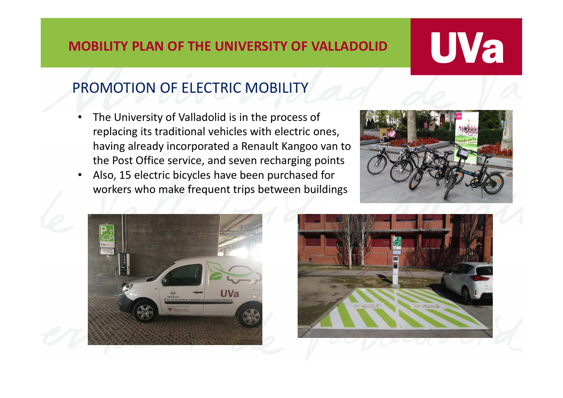# **UVa**

### PROMOTION OF ELECTRIC MOBILITY

- • The University of Valladolid is in the process of replacing its traditional vehicles with electric ones, having already incorporated a Renault Kangoo van to the Post Office service, and seven recharging points
- Also, 15 electric bicycles have been purchased for •workers who make frequent trips between buildings





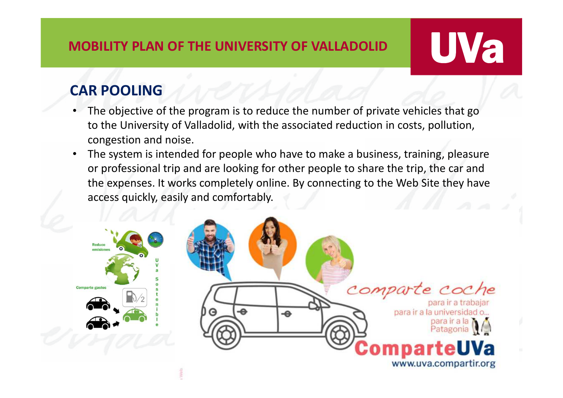# <u>UVa</u>

### **CAR POOLING**

- The objective of the program is to reduce the number of private vehicles that go •to the University of Valladolid, with the associated reduction in costs, pollution, congestion and noise.
- • The system is intended for people who have to make a business, training, pleasure or professional trip and are looking for other people to share the trip, the car and the expenses. It works completely online. By connecting to the Web Site they have access quickly, easily and comfortably.

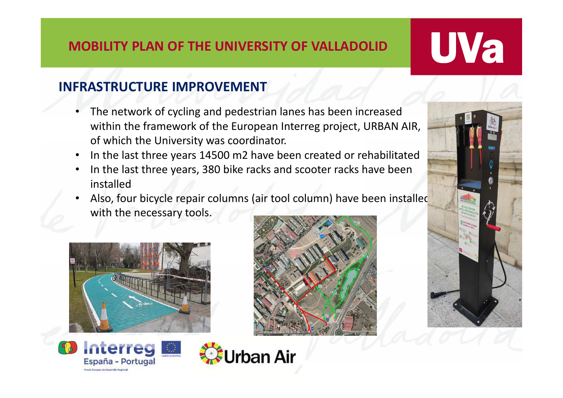# <u>UVa</u>

### **INFRASTRUCTURE IMPROVEMENT**

- • The network of cycling and pedestrian lanes has been increased within the framework of the European Interreg project, URBAN AIR, of which the University was coordinator.
- •In the last three years 14500 m2 have been created or rehabilitated
- $\bullet$  In the last three years, 380 bike racks and scooter racks have been installed
- Also, four bicycle repair columns (air tool column) have been installed •with the necessary tools.

**Jrban Air** 



Interreg

España - Portugal

Fondo Europee de Desamillo Begion



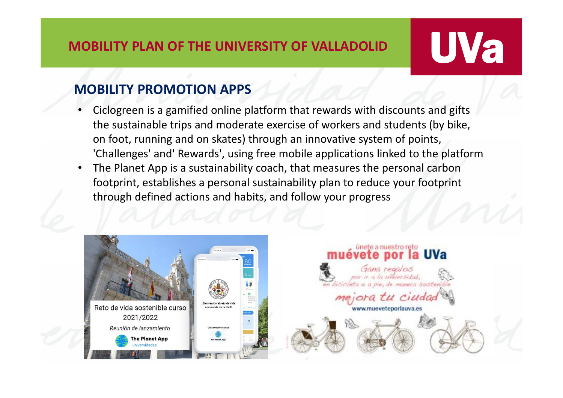## UVa

### **MOBILITY PROMOTION APPS**

- • Ciclogreen is a gamified online platform that rewards with discounts and gifts the sustainable trips and moderate exercise of workers and students (by bike, on foot, running and on skates) through an innovative system of points, 'Challenges' and' Rewards', using free mobile applications linked to the platform
- $\bullet$  The Planet App is a sustainability coach, that measures the personal carbon footprint, establishes a personal sustainability plan to reduce your footprint through defined actions and habits, and follow your progress

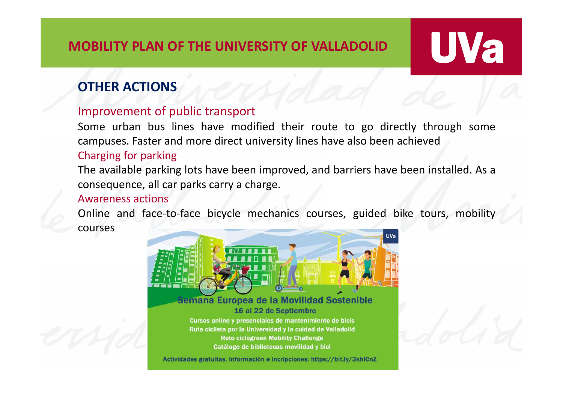### **OTHER ACTIONS**

#### Improvement of public transport

Some urban bus lines have modified their route to go directly through some campuses. Faster and more direct university lines have also been achieved

UVa

#### Charging for parking

The available parking lots have been improved, and barriers have been installed. As <sup>a</sup> consequence, all car parks carry <sup>a</sup> charge.

#### Awareness actions

Online and face-to-face bicycle mechanics courses, guided bike tours, mobility courses